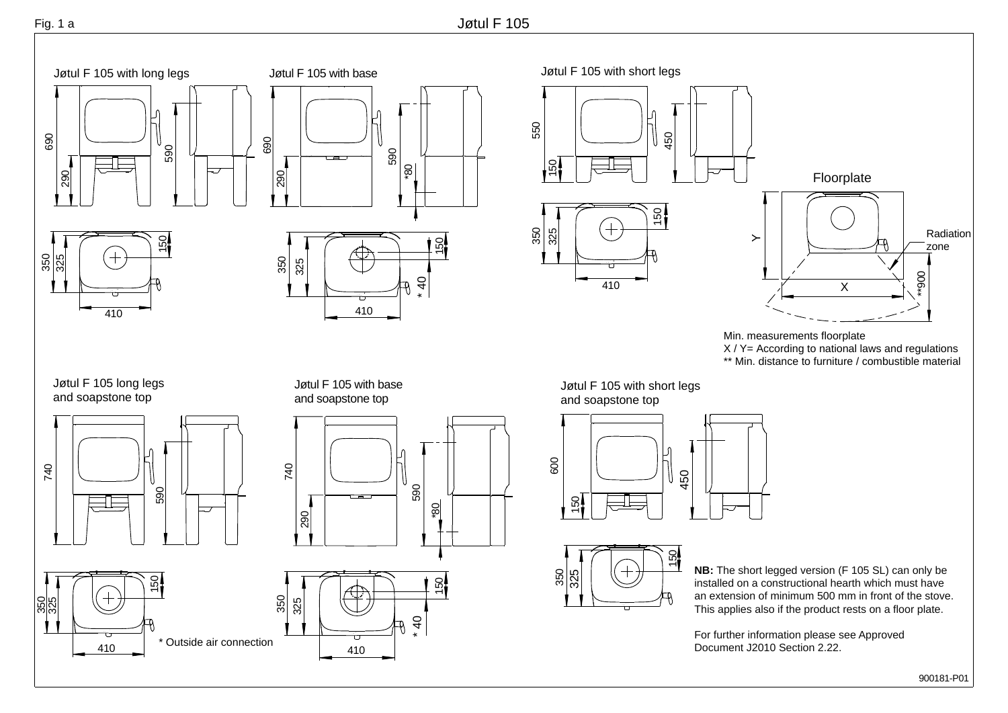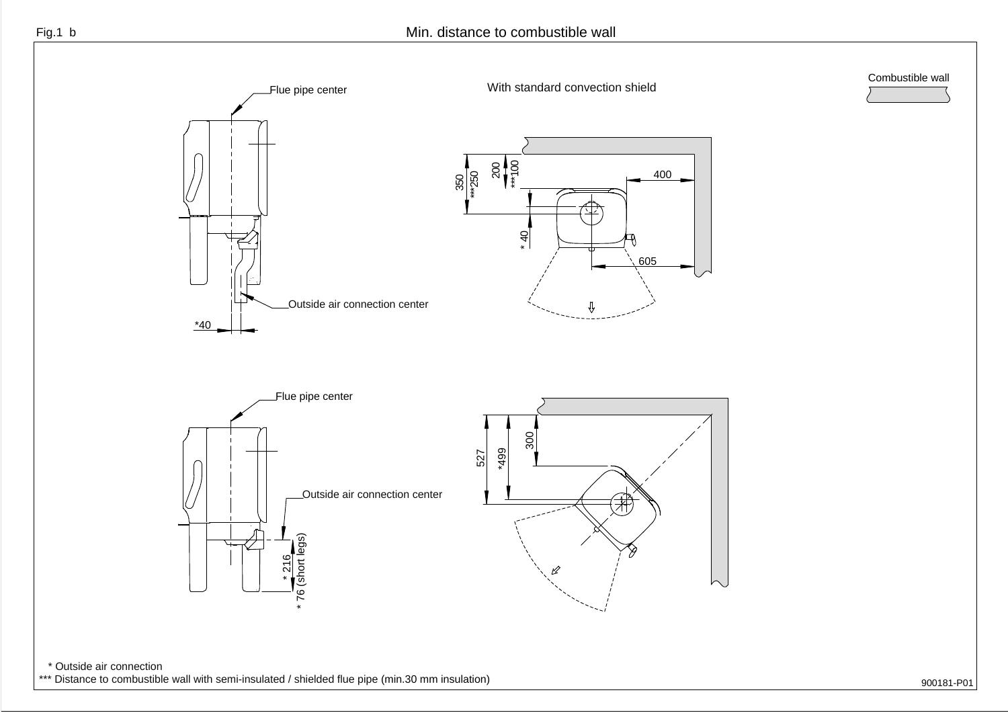

900181-P01

\*\*\* Distance to combustible wall with semi-insulated / shielded flue pipe (min.30 mm insulation)